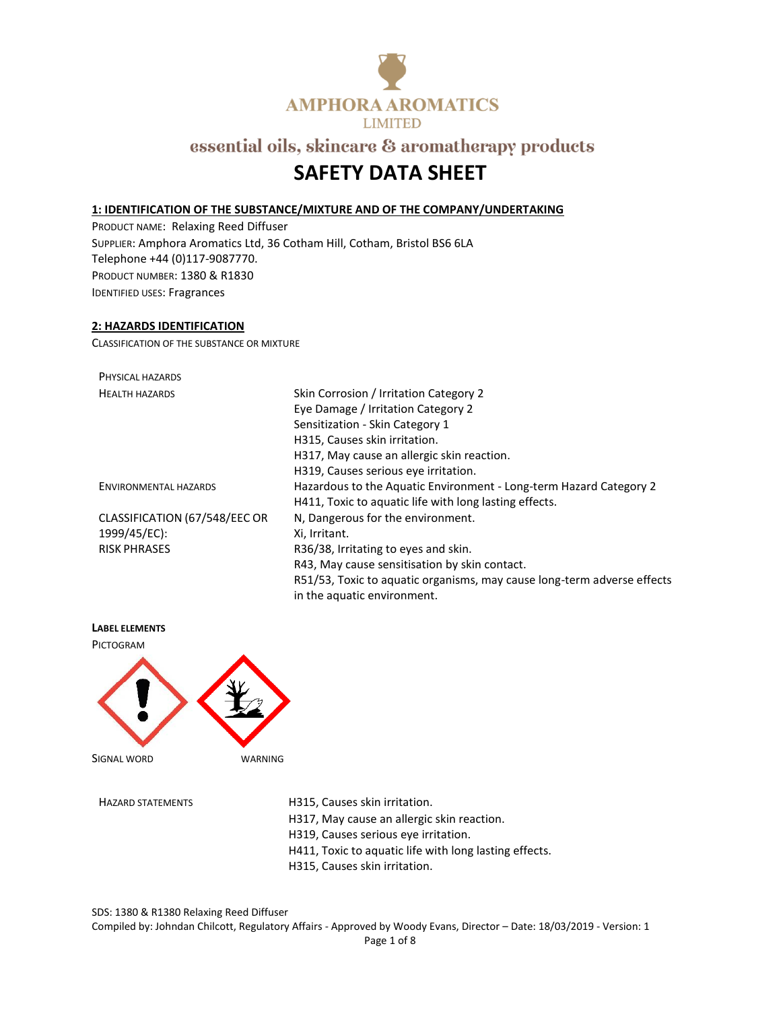

# **SAFETY DATA SHEET**

#### **1: IDENTIFICATION OF THE SUBSTANCE/MIXTURE AND OF THE COMPANY/UNDERTAKING**

PRODUCT NAME: Relaxing Reed Diffuser SUPPLIER: Amphora Aromatics Ltd, 36 Cotham Hill, Cotham, Bristol BS6 6LA Telephone +44 (0)117-9087770. PRODUCT NUMBER: 1380 & R1830 IDENTIFIED USES: Fragrances

#### **2: HAZARDS IDENTIFICATION**

CLASSIFICATION OF THE SUBSTANCE OR MIXTURE

| PHYSICAL HAZARDS              |                                                                         |
|-------------------------------|-------------------------------------------------------------------------|
| <b>HEALTH HAZARDS</b>         | Skin Corrosion / Irritation Category 2                                  |
|                               | Eye Damage / Irritation Category 2                                      |
|                               | Sensitization - Skin Category 1                                         |
|                               | H315, Causes skin irritation.                                           |
|                               | H317, May cause an allergic skin reaction.                              |
|                               | H319, Causes serious eye irritation.                                    |
| <b>ENVIRONMENTAL HAZARDS</b>  | Hazardous to the Aquatic Environment - Long-term Hazard Category 2      |
|                               | H411, Toxic to aquatic life with long lasting effects.                  |
| CLASSIFICATION (67/548/EEC OR | N, Dangerous for the environment.                                       |
| 1999/45/EC):                  | Xi, Irritant.                                                           |
| <b>RISK PHRASES</b>           | R36/38, Irritating to eyes and skin.                                    |
|                               | R43, May cause sensitisation by skin contact.                           |
|                               | R51/53, Toxic to aquatic organisms, may cause long-term adverse effects |
|                               | in the aquatic environment.                                             |
|                               |                                                                         |



HAZARD STATEMENTS H315, Causes skin irritation.

H317, May cause an allergic skin reaction.

H319, Causes serious eye irritation.

H411, Toxic to aquatic life with long lasting effects.

H315, Causes skin irritation.

SDS: 1380 & R1380 Relaxing Reed Diffuser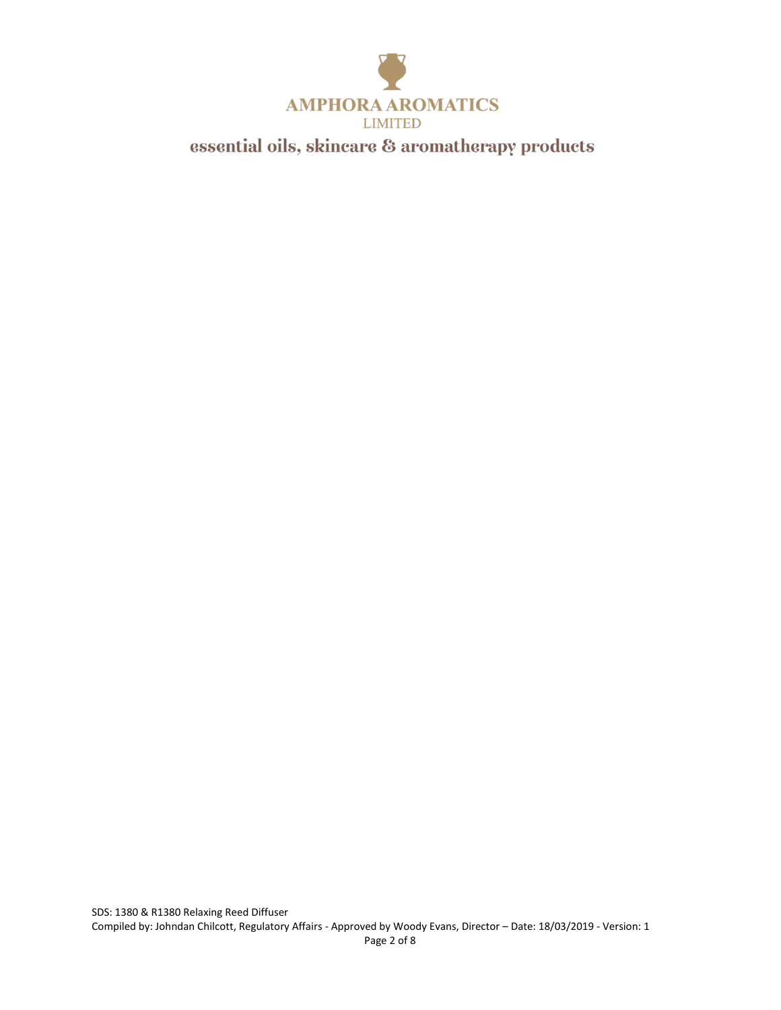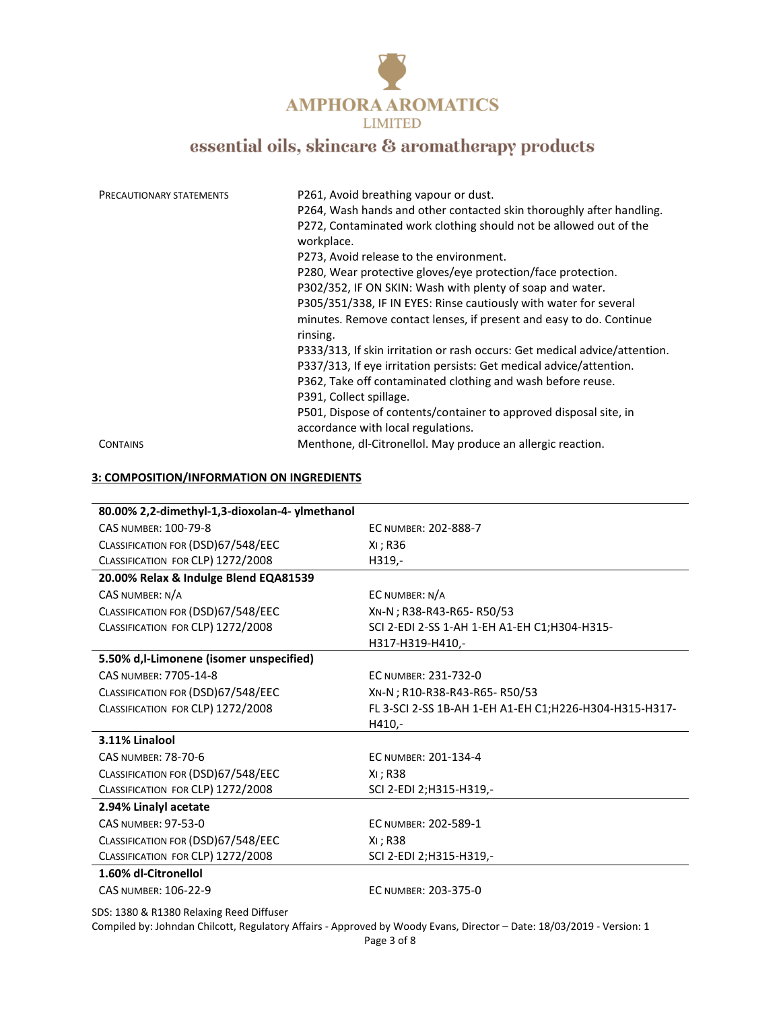

| <b>PRECAUTIONARY STATEMENTS</b> | P261, Avoid breathing vapour or dust.<br>P264, Wash hands and other contacted skin thoroughly after handling.<br>P272, Contaminated work clothing should not be allowed out of the |
|---------------------------------|------------------------------------------------------------------------------------------------------------------------------------------------------------------------------------|
|                                 | workplace.<br>P273, Avoid release to the environment.                                                                                                                              |
|                                 |                                                                                                                                                                                    |
|                                 | P280, Wear protective gloves/eye protection/face protection.<br>P302/352, IF ON SKIN: Wash with plenty of soap and water.                                                          |
|                                 |                                                                                                                                                                                    |
|                                 | P305/351/338, IF IN EYES: Rinse cautiously with water for several                                                                                                                  |
|                                 | minutes. Remove contact lenses, if present and easy to do. Continue<br>rinsing.                                                                                                    |
|                                 | P333/313, If skin irritation or rash occurs: Get medical advice/attention.                                                                                                         |
|                                 | P337/313, If eye irritation persists: Get medical advice/attention.                                                                                                                |
|                                 | P362, Take off contaminated clothing and wash before reuse.                                                                                                                        |
|                                 | P391, Collect spillage.                                                                                                                                                            |
|                                 | P501, Dispose of contents/container to approved disposal site, in<br>accordance with local regulations.                                                                            |
| <b>CONTAINS</b>                 | Menthone, di-Citronellol. May produce an allergic reaction.                                                                                                                        |

#### **3: COMPOSITION/INFORMATION ON INGREDIENTS**

| 80.00% 2,2-dimethyl-1,3-dioxolan-4-ylmethanol |                                                        |
|-----------------------------------------------|--------------------------------------------------------|
| <b>CAS NUMBER: 100-79-8</b>                   | EC NUMBER: 202-888-7                                   |
| CLASSIFICATION FOR (DSD)67/548/EEC            | $XI$ ; R36                                             |
| CLASSIFICATION FOR CLP) 1272/2008             | H319,-                                                 |
| 20.00% Relax & Indulge Blend EQA81539         |                                                        |
| CAS NUMBER: N/A                               | EC NUMBER: N/A                                         |
| CLASSIFICATION FOR (DSD)67/548/EEC            | XN-N; R38-R43-R65- R50/53                              |
| CLASSIFICATION FOR CLP) 1272/2008             | SCI 2-EDI 2-SS 1-AH 1-EH A1-EH C1;H304-H315-           |
|                                               | H317-H319-H410,-                                       |
| 5.50% d, I-Limonene (isomer unspecified)      |                                                        |
| CAS NUMBER: 7705-14-8                         | EC NUMBER: 231-732-0                                   |
| CLASSIFICATION FOR (DSD)67/548/EEC            | XN-N; R10-R38-R43-R65-R50/53                           |
| CLASSIFICATION FOR CLP) 1272/2008             | FL 3-SCI 2-SS 1B-AH 1-EH A1-EH C1;H226-H304-H315-H317- |
|                                               | H410,-                                                 |
| 3.11% Linalool                                |                                                        |
| <b>CAS NUMBER: 78-70-6</b>                    | FC NUMBER: 201-134-4                                   |
| CLASSIFICATION FOR (DSD)67/548/EEC            | $Xi:$ R38                                              |
| CLASSIFICATION FOR CLP) 1272/2008             | SCI 2-EDI 2;H315-H319,-                                |
| 2.94% Linalyl acetate                         |                                                        |
| <b>CAS NUMBER: 97-53-0</b>                    | EC NUMBER: 202-589-1                                   |
| CLASSIFICATION FOR (DSD)67/548/EEC            | $Xi:$ R38                                              |
| CLASSIFICATION FOR CLP) 1272/2008             | SCI 2-EDI 2;H315-H319,-                                |
| 1.60% dl-Citronellol                          |                                                        |
| <b>CAS NUMBER: 106-22-9</b>                   | EC NUMBER: 203-375-0                                   |
|                                               |                                                        |

SDS: 1380 & R1380 Relaxing Reed Diffuser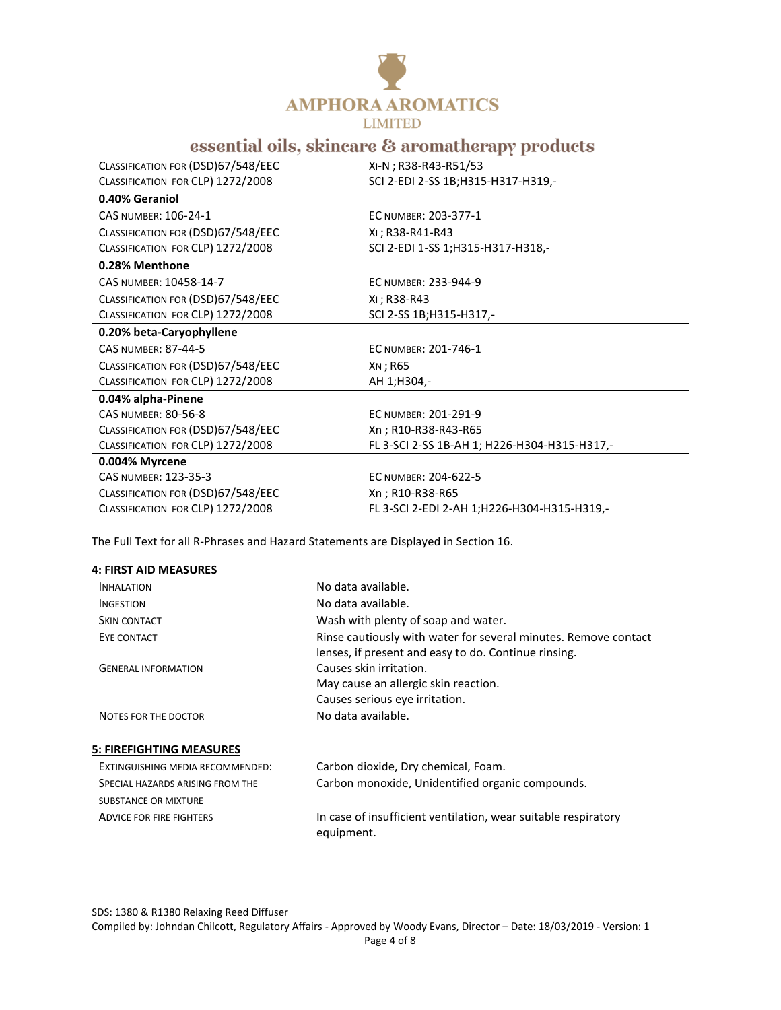

| CLASSIFICATION FOR (DSD)67/548/EEC | X <sub>I</sub> -N; R38-R43-R51/53            |
|------------------------------------|----------------------------------------------|
| CLASSIFICATION FOR CLP) 1272/2008  | SCI 2-EDI 2-SS 1B;H315-H317-H319,-           |
| 0.40% Geraniol                     |                                              |
| CAS NUMBER: 106-24-1               | FC NUMBER: 203-377-1                         |
| CLASSIFICATION FOR (DSD)67/548/EEC | Xi; R38-R41-R43                              |
| CLASSIFICATION FOR CLP) 1272/2008  | SCI 2-EDI 1-SS 1;H315-H317-H318,-            |
| 0.28% Menthone                     |                                              |
| CAS NUMBER: 10458-14-7             | FC NUMBER: 233-944-9                         |
| CLASSIFICATION FOR (DSD)67/548/EEC | X <sub>1</sub> ; R38-R43                     |
| CLASSIFICATION FOR CLP) 1272/2008  | SCI 2-SS 1B; H315-H317,-                     |
| 0.20% beta-Caryophyllene           |                                              |
| <b>CAS NUMBER: 87-44-5</b>         | FC NUMBER: 201-746-1                         |
| CLASSIFICATION FOR (DSD)67/548/EEC | X <sub>N</sub> ; R <sub>65</sub>             |
| CLASSIFICATION FOR CLP) 1272/2008  | AH 1;H304,-                                  |
| 0.04% alpha-Pinene                 |                                              |
| <b>CAS NUMBER: 80-56-8</b>         | EC NUMBER: 201-291-9                         |
| CLASSIFICATION FOR (DSD)67/548/EEC | Xn; R10-R38-R43-R65                          |
| CLASSIFICATION FOR CLP) 1272/2008  | FL 3-SCI 2-SS 1B-AH 1; H226-H304-H315-H317,- |
| 0.004% Myrcene                     |                                              |
| CAS NUMBER: 123-35-3               | EC NUMBER: 204-622-5                         |
| CLASSIFICATION FOR (DSD)67/548/EEC | Xn; R10-R38-R65                              |
| CLASSIFICATION FOR CLP) 1272/2008  | FL 3-SCI 2-EDI 2-AH 1;H226-H304-H315-H319,-  |

The Full Text for all R-Phrases and Hazard Statements are Displayed in Section 16.

#### **4: FIRST AID MEASURES**

| <b>INHALATION</b>          | No data available.                                              |
|----------------------------|-----------------------------------------------------------------|
| <b>INGESTION</b>           | No data available.                                              |
| SKIN CONTACT               | Wash with plenty of soap and water.                             |
| EYE CONTACT                | Rinse cautiously with water for several minutes. Remove contact |
|                            | lenses, if present and easy to do. Continue rinsing.            |
| <b>GENERAL INFORMATION</b> | Causes skin irritation.                                         |
|                            | May cause an allergic skin reaction.                            |
|                            | Causes serious eye irritation.                                  |
| NOTES FOR THE DOCTOR       | No data available.                                              |
|                            |                                                                 |
|                            |                                                                 |

### **5: FIREFIGHTING MEASURES**

| EXTINGUISHING MEDIA RECOMMENDED: | Carbon dioxide, Dry chemical, Foam.                            |
|----------------------------------|----------------------------------------------------------------|
| SPECIAL HAZARDS ARISING FROM THE | Carbon monoxide, Unidentified organic compounds.               |
| <b>SUBSTANCE OR MIXTURE</b>      |                                                                |
| <b>ADVICE FOR FIRE FIGHTERS</b>  | In case of insufficient ventilation, wear suitable respiratory |
|                                  | equipment.                                                     |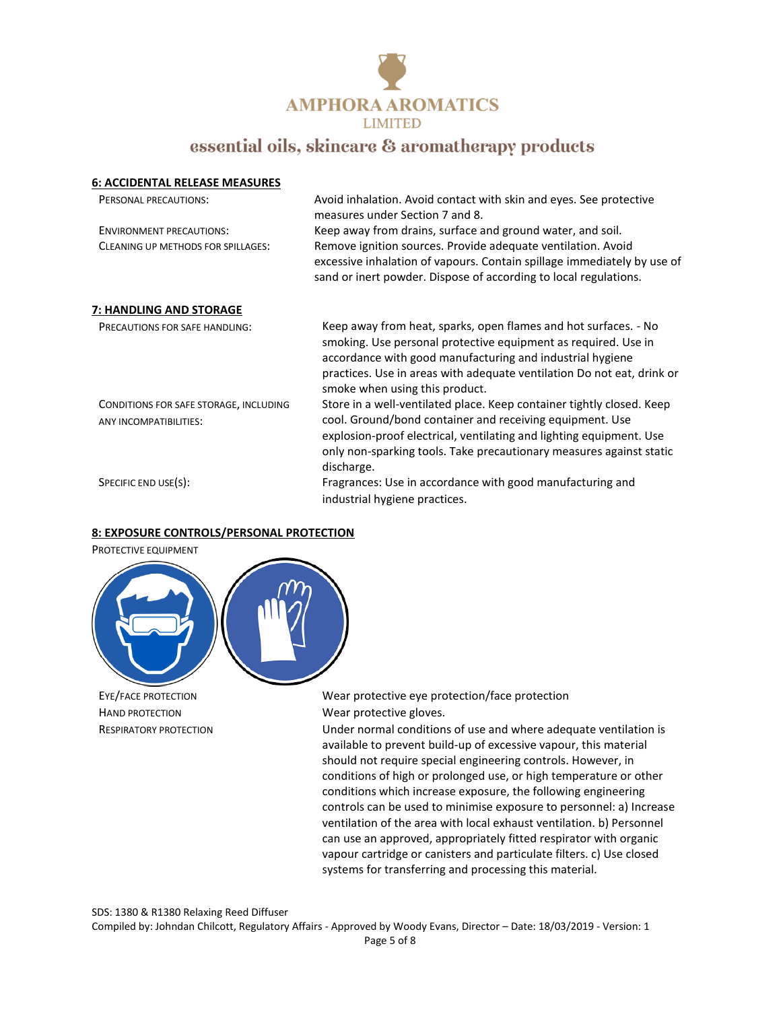

#### **6: ACCIDENTAL RELEASE MEASURES**

| PERSONAL PRECAUTIONS:                  | Avoid inhalation. Avoid contact with skin and eyes. See protective<br>measures under Section 7 and 8.                                                                                                                                                                                                      |
|----------------------------------------|------------------------------------------------------------------------------------------------------------------------------------------------------------------------------------------------------------------------------------------------------------------------------------------------------------|
| <b>ENVIRONMENT PRECAUTIONS:</b>        | Keep away from drains, surface and ground water, and soil.                                                                                                                                                                                                                                                 |
| CLEANING UP METHODS FOR SPILLAGES:     | Remove ignition sources. Provide adequate ventilation. Avoid<br>excessive inhalation of vapours. Contain spillage immediately by use of<br>sand or inert powder. Dispose of according to local regulations.                                                                                                |
| 7: HANDLING AND STORAGE                |                                                                                                                                                                                                                                                                                                            |
| <b>PRECAUTIONS FOR SAFE HANDLING:</b>  | Keep away from heat, sparks, open flames and hot surfaces. - No<br>smoking. Use personal protective equipment as required. Use in<br>accordance with good manufacturing and industrial hygiene<br>practices. Use in areas with adequate ventilation Do not eat, drink or<br>smoke when using this product. |
| CONDITIONS FOR SAFE STORAGE, INCLUDING | Store in a well-ventilated place. Keep container tightly closed. Keep                                                                                                                                                                                                                                      |
| ANY INCOMPATIBILITIES:                 | cool. Ground/bond container and receiving equipment. Use<br>explosion-proof electrical, ventilating and lighting equipment. Use<br>only non-sparking tools. Take precautionary measures against static<br>discharge.                                                                                       |
| SPECIFIC END USE(S):                   | Fragrances: Use in accordance with good manufacturing and<br>industrial hygiene practices.                                                                                                                                                                                                                 |

#### **8: EXPOSURE CONTROLS/PERSONAL PROTECTION**



EYE/FACE PROTECTION Wear protective eye protection/face protection HAND PROTECTION **Wear protective gloves**.

RESPIRATORY PROTECTION Under normal conditions of use and where adequate ventilation is available to prevent build-up of excessive vapour, this material should not require special engineering controls. However, in conditions of high or prolonged use, or high temperature or other conditions which increase exposure, the following engineering controls can be used to minimise exposure to personnel: a) Increase ventilation of the area with local exhaust ventilation. b) Personnel can use an approved, appropriately fitted respirator with organic vapour cartridge or canisters and particulate filters. c) Use closed systems for transferring and processing this material.

SDS: 1380 & R1380 Relaxing Reed Diffuser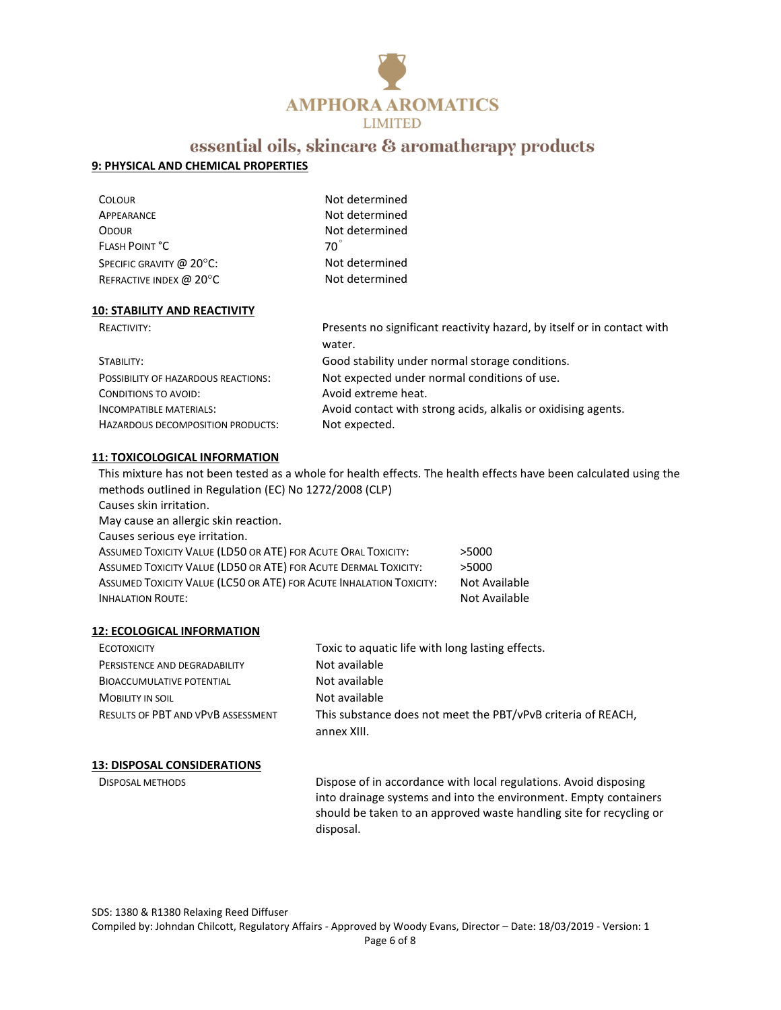

#### **9: PHYSICAL AND CHEMICAL PROPERTIES**

| Not determined |
|----------------|
| Not determined |
| Not determined |
| 70°            |
| Not determined |
| Not determined |
|                |

#### **10: STABILITY AND REACTIVITY**

| REACTIVITY:                              | Presents no significant reactivity hazard, by itself or in contact with |
|------------------------------------------|-------------------------------------------------------------------------|
|                                          | water.                                                                  |
| STABILITY:                               | Good stability under normal storage conditions.                         |
| POSSIBILITY OF HAZARDOUS REACTIONS:      | Not expected under normal conditions of use.                            |
| CONDITIONS TO AVOID:                     | Avoid extreme heat.                                                     |
| <b>INCOMPATIBLE MATERIALS:</b>           | Avoid contact with strong acids, alkalis or oxidising agents.           |
| <b>HAZARDOUS DECOMPOSITION PRODUCTS:</b> | Not expected.                                                           |

#### **11: TOXICOLOGICAL INFORMATION**

This mixture has not been tested as a whole for health effects. The health effects have been calculated using the methods outlined in Regulation (EC) No 1272/2008 (CLP) Causes skin irritation. May cause an allergic skin reaction. Causes serious eye irritation. ASSUMED TOXICITY VALUE (LD50 OR ATE) FOR ACUTE ORAL TOXICITY: >>5000 ASSUMED TOXICITY VALUE (LD50 OR ATE) FOR ACUTE DERMAL TOXICITY: >>5000 ASSUMED TOXICITY VALUE (LC50 OR ATE) FOR ACUTE INHALATION TOXICITY: Not Available<br>INHALATION ROUTE: Not Available **INHALATION ROUTE:** 

#### **12: ECOLOGICAL INFORMATION**

| <b>ECOTOXICITY</b>                        | Toxic to aquatic life with long lasting effects.                            |
|-------------------------------------------|-----------------------------------------------------------------------------|
| PERSISTENCE AND DEGRADABILITY             | Not available                                                               |
| <b>BIOACCUMULATIVE POTENTIAL</b>          | Not available                                                               |
| <b>MOBILITY IN SOIL</b>                   | Not available                                                               |
| <b>RESULTS OF PBT AND VPVB ASSESSMENT</b> | This substance does not meet the PBT/vPvB criteria of REACH,<br>annex XIII. |
| <b>13: DISPOSAL CONSIDERATIONS</b>        |                                                                             |

DISPOSAL METHODS Dispose of in accordance with local regulations. Avoid disposing into drainage systems and into the environment. Empty containers should be taken to an approved waste handling site for recycling or disposal.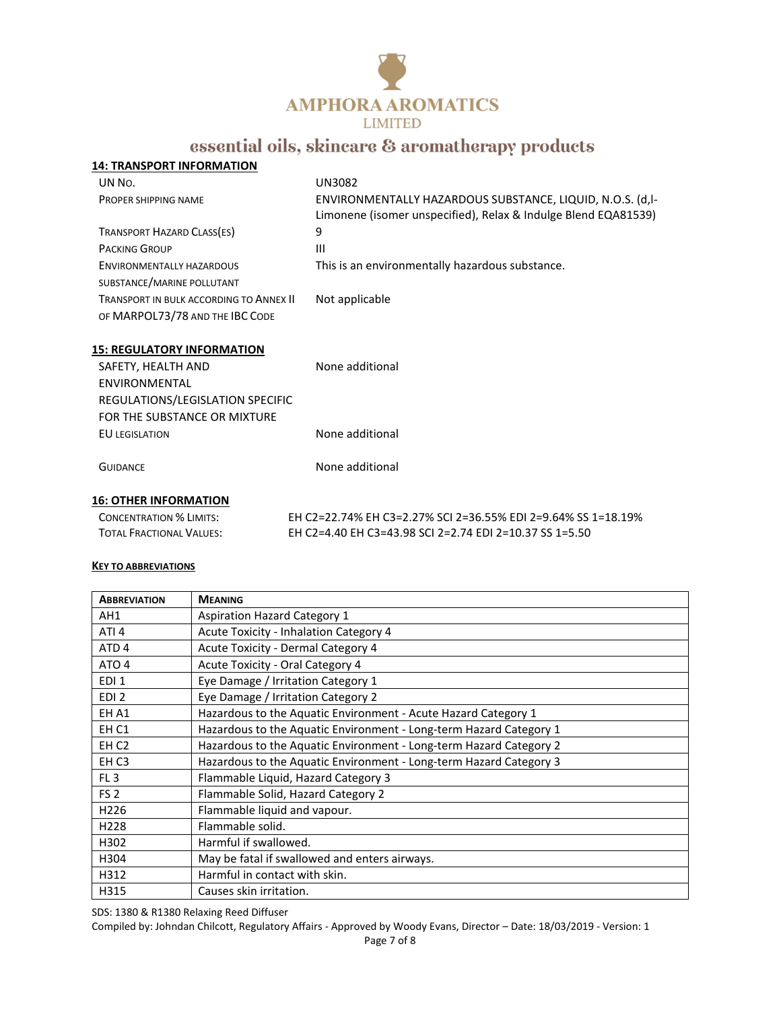

| <b>14: TRANSPORT INFORMATION</b>                                                  |                                                                                                                             |
|-----------------------------------------------------------------------------------|-----------------------------------------------------------------------------------------------------------------------------|
| UN No.                                                                            | <b>UN3082</b>                                                                                                               |
| <b>PROPER SHIPPING NAME</b>                                                       | ENVIRONMENTALLY HAZARDOUS SUBSTANCE, LIQUID, N.O.S. (d,I-<br>Limonene (isomer unspecified), Relax & Indulge Blend EQA81539) |
| TRANSPORT HAZARD CLASS(ES)                                                        | 9                                                                                                                           |
| <b>PACKING GROUP</b>                                                              | Ш                                                                                                                           |
| <b>ENVIRONMENTALLY HAZARDOUS</b><br>SUBSTANCE/MARINE POLLUTANT                    | This is an environmentally hazardous substance.                                                                             |
| <b>TRANSPORT IN BULK ACCORDING TO ANNEX II</b><br>OF MARPOL73/78 AND THE IBC CODE | Not applicable                                                                                                              |
| <b>15: REGULATORY INFORMATION</b>                                                 |                                                                                                                             |
| SAFETY, HEALTH AND                                                                | None additional                                                                                                             |
| <b>FNVIRONMENTAL</b>                                                              |                                                                                                                             |
| REGULATIONS/LEGISLATION SPECIFIC                                                  |                                                                                                                             |
| FOR THE SUBSTANCE OR MIXTURE                                                      |                                                                                                                             |
| <b>EU LEGISLATION</b>                                                             | None additional                                                                                                             |
| <b>GUIDANCE</b>                                                                   | None additional                                                                                                             |
| <b>16: OTHER INFORMATION</b>                                                      |                                                                                                                             |
| <b>CONCENTRATION % LIMITS:</b>                                                    | EH C2=22.74% EH C3=2.27% SCI 2=36.55% EDI 2=9.64% SS 1=18.19%                                                               |
| <b>TOTAL FRACTIONAL VALUES:</b>                                                   | EH C2=4.40 EH C3=43.98 SCI 2=2.74 EDI 2=10.37 SS 1=5.50                                                                     |

#### **KEY TO ABBREVIATIONS**

| <b>ABBREVIATION</b> | <b>MEANING</b>                                                     |
|---------------------|--------------------------------------------------------------------|
| AH1                 | <b>Aspiration Hazard Category 1</b>                                |
| ATI <sub>4</sub>    | <b>Acute Toxicity - Inhalation Category 4</b>                      |
| ATD <sub>4</sub>    | Acute Toxicity - Dermal Category 4                                 |
| ATO 4               | Acute Toxicity - Oral Category 4                                   |
| EDI <sub>1</sub>    | Eye Damage / Irritation Category 1                                 |
| EDI <sub>2</sub>    | Eye Damage / Irritation Category 2                                 |
| EH A1               | Hazardous to the Aquatic Environment - Acute Hazard Category 1     |
| EH <sub>C1</sub>    | Hazardous to the Aquatic Environment - Long-term Hazard Category 1 |
| EH <sub>C2</sub>    | Hazardous to the Aquatic Environment - Long-term Hazard Category 2 |
| EH <sub>C3</sub>    | Hazardous to the Aquatic Environment - Long-term Hazard Category 3 |
| FL <sub>3</sub>     | Flammable Liquid, Hazard Category 3                                |
| FS <sub>2</sub>     | Flammable Solid, Hazard Category 2                                 |
| H226                | Flammable liquid and vapour.                                       |
| H <sub>228</sub>    | Flammable solid.                                                   |
| H302                | Harmful if swallowed.                                              |
| H304                | May be fatal if swallowed and enters airways.                      |
| H312                | Harmful in contact with skin.                                      |
| H315                | Causes skin irritation.                                            |

SDS: 1380 & R1380 Relaxing Reed Diffuser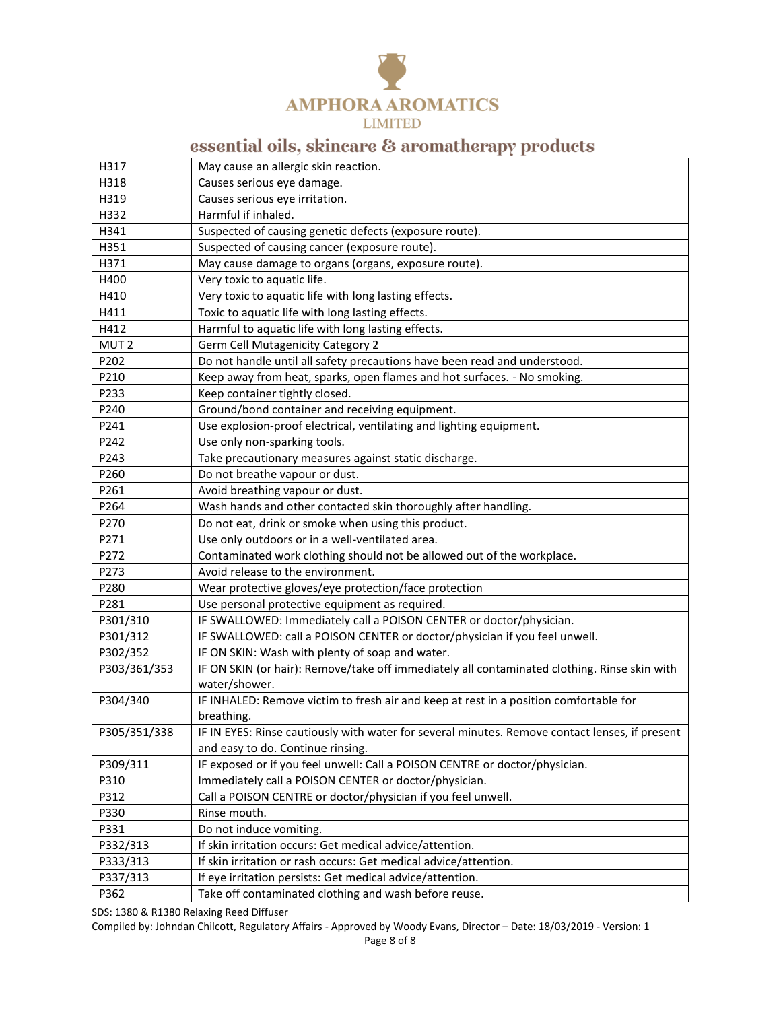

| H317             | May cause an allergic skin reaction.                                                           |
|------------------|------------------------------------------------------------------------------------------------|
| H318             | Causes serious eye damage.                                                                     |
| H319             | Causes serious eye irritation.                                                                 |
| H332             | Harmful if inhaled.                                                                            |
| H341             | Suspected of causing genetic defects (exposure route).                                         |
| H351             | Suspected of causing cancer (exposure route).                                                  |
| H371             | May cause damage to organs (organs, exposure route).                                           |
| H400             | Very toxic to aquatic life.                                                                    |
| H410             | Very toxic to aquatic life with long lasting effects.                                          |
| H411             | Toxic to aquatic life with long lasting effects.                                               |
| H412             | Harmful to aquatic life with long lasting effects.                                             |
| MUT <sub>2</sub> | <b>Germ Cell Mutagenicity Category 2</b>                                                       |
| P202             | Do not handle until all safety precautions have been read and understood.                      |
| P210             | Keep away from heat, sparks, open flames and hot surfaces. - No smoking.                       |
| P233             | Keep container tightly closed.                                                                 |
| P240             | Ground/bond container and receiving equipment.                                                 |
| P241             | Use explosion-proof electrical, ventilating and lighting equipment.                            |
| P242             | Use only non-sparking tools.                                                                   |
| P243             | Take precautionary measures against static discharge.                                          |
| P260             | Do not breathe vapour or dust.                                                                 |
| P261             | Avoid breathing vapour or dust.                                                                |
| P264             | Wash hands and other contacted skin thoroughly after handling.                                 |
| P270             | Do not eat, drink or smoke when using this product.                                            |
| P271             | Use only outdoors or in a well-ventilated area.                                                |
| P272             | Contaminated work clothing should not be allowed out of the workplace.                         |
| P273             | Avoid release to the environment.                                                              |
| P280             | Wear protective gloves/eye protection/face protection                                          |
| P281             | Use personal protective equipment as required.                                                 |
| P301/310         | IF SWALLOWED: Immediately call a POISON CENTER or doctor/physician.                            |
| P301/312         | IF SWALLOWED: call a POISON CENTER or doctor/physician if you feel unwell.                     |
| P302/352         | IF ON SKIN: Wash with plenty of soap and water.                                                |
| P303/361/353     | IF ON SKIN (or hair): Remove/take off immediately all contaminated clothing. Rinse skin with   |
|                  | water/shower.                                                                                  |
| P304/340         | IF INHALED: Remove victim to fresh air and keep at rest in a position comfortable for          |
|                  | breathing.                                                                                     |
| P305/351/338     | IF IN EYES: Rinse cautiously with water for several minutes. Remove contact lenses, if present |
|                  | and easy to do. Continue rinsing.                                                              |
| P309/311         | IF exposed or if you feel unwell: Call a POISON CENTRE or doctor/physician.                    |
| P310             | Immediately call a POISON CENTER or doctor/physician.                                          |
| P312             | Call a POISON CENTRE or doctor/physician if you feel unwell.                                   |
| P330             | Rinse mouth.                                                                                   |
| P331             | Do not induce vomiting.                                                                        |
| P332/313         | If skin irritation occurs: Get medical advice/attention.                                       |
| P333/313         | If skin irritation or rash occurs: Get medical advice/attention.                               |
| P337/313         | If eye irritation persists: Get medical advice/attention.                                      |
| P362             | Take off contaminated clothing and wash before reuse.                                          |

SDS: 1380 & R1380 Relaxing Reed Diffuser